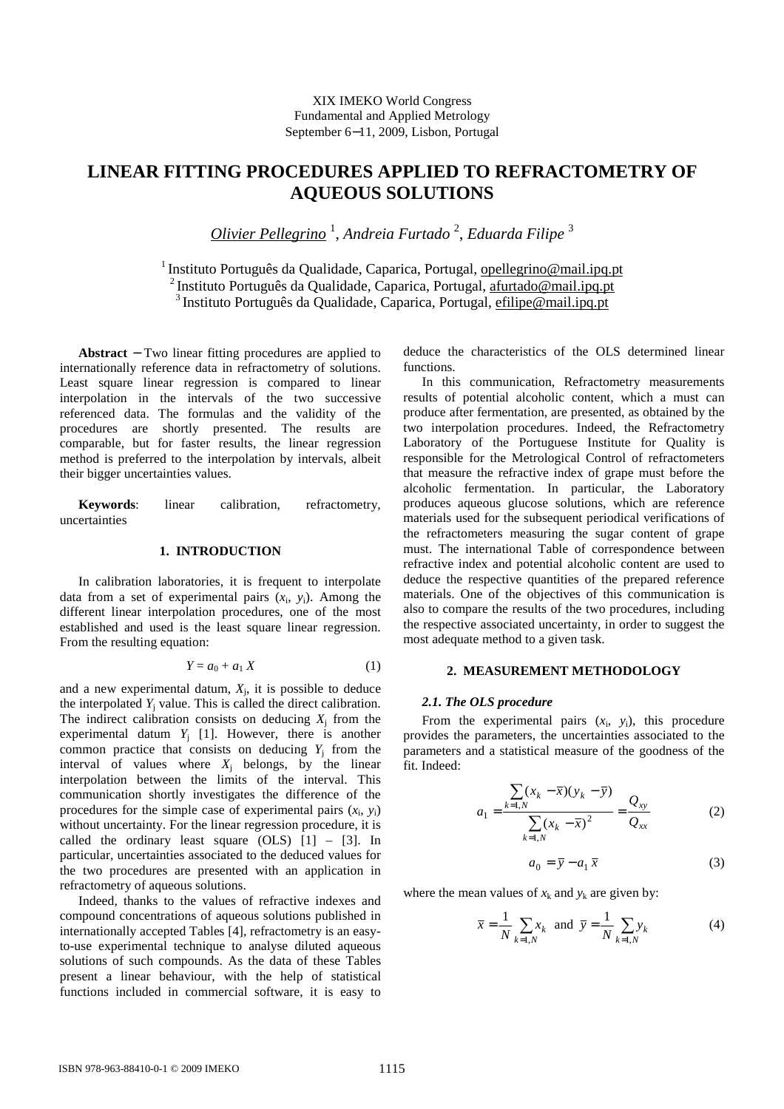# **LINEAR FITTING PROCEDURES APPLIED TO REFRACTOMETRY OF AQUEOUS SOLUTIONS**

*Olivier Pellegrino* <sup>1</sup> , *Andreia Furtado* <sup>2</sup> , *Eduarda Filipe* <sup>3</sup>

<sup>1</sup> Instituto Português da Qualidade, Caparica, Portugal, opellegrino@mail.ipq.pt <sup>2</sup>Instituto Português da Qualidade, Caparica, Portugal, afurtado@mail.ipq.pt <sup>3</sup>Instituto Português da Qualidade, Caparica, Portugal, efilipe@mail.ipq.pt

**Abstract** − Two linear fitting procedures are applied to internationally reference data in refractometry of solutions. Least square linear regression is compared to linear interpolation in the intervals of the two successive referenced data. The formulas and the validity of the procedures are shortly presented. The results are comparable, but for faster results, the linear regression method is preferred to the interpolation by intervals, albeit their bigger uncertainties values.

**Keywords**: linear calibration, refractometry, uncertainties

# **1. INTRODUCTION**

In calibration laboratories, it is frequent to interpolate data from a set of experimental pairs  $(x_i, y_i)$ . Among the different linear interpolation procedures, one of the most established and used is the least square linear regression. From the resulting equation:

$$
Y = a_0 + a_1 X \tag{1}
$$

and a new experimental datum,  $X_j$ , it is possible to deduce the interpolated  $Y_j$  value. This is called the direct calibration. The indirect calibration consists on deducing  $X_j$  from the experimental datum  $Y_j$  [1]. However, there is another common practice that consists on deducing  $Y_j$  from the interval of values where  $X_j$  belongs, by the linear interpolation between the limits of the interval. This communication shortly investigates the difference of the procedures for the simple case of experimental pairs  $(x_i, y_i)$ without uncertainty. For the linear regression procedure, it is called the ordinary least square  $(OLS)$   $[1]$  –  $[3]$ . In particular, uncertainties associated to the deduced values for the two procedures are presented with an application in refractometry of aqueous solutions.

Indeed, thanks to the values of refractive indexes and compound concentrations of aqueous solutions published in internationally accepted Tables [4], refractometry is an easyto-use experimental technique to analyse diluted aqueous solutions of such compounds. As the data of these Tables present a linear behaviour, with the help of statistical functions included in commercial software, it is easy to

deduce the characteristics of the OLS determined linear functions.

In this communication, Refractometry measurements results of potential alcoholic content, which a must can produce after fermentation, are presented, as obtained by the two interpolation procedures. Indeed, the Refractometry Laboratory of the Portuguese Institute for Quality is responsible for the Metrological Control of refractometers that measure the refractive index of grape must before the alcoholic fermentation. In particular, the Laboratory produces aqueous glucose solutions, which are reference materials used for the subsequent periodical verifications of the refractometers measuring the sugar content of grape must. The international Table of correspondence between refractive index and potential alcoholic content are used to deduce the respective quantities of the prepared reference materials. One of the objectives of this communication is also to compare the results of the two procedures, including the respective associated uncertainty, in order to suggest the most adequate method to a given task.

## **2. MEASUREMENT METHODOLOGY**

### *2.1. The OLS procedure*

From the experimental pairs  $(x_i, y_i)$ , this procedure provides the parameters, the uncertainties associated to the parameters and a statistical measure of the goodness of the fit. Indeed:

$$
a_1 = \frac{\sum_{k=1,N} (x_k - \bar{x})(y_k - \bar{y})}{\sum_{k=1,N} (x_k - \bar{x})^2} = \frac{Q_{xy}}{Q_{xx}}
$$
(2)

$$
a_0 = \overline{y} - a_1 \overline{x} \tag{3}
$$

where the mean values of  $x_k$  and  $y_k$  are given by:

$$
\overline{x} = \frac{1}{N} \sum_{k=1,N} x_k
$$
 and  $\overline{y} = \frac{1}{N} \sum_{k=1,N} y_k$  (4)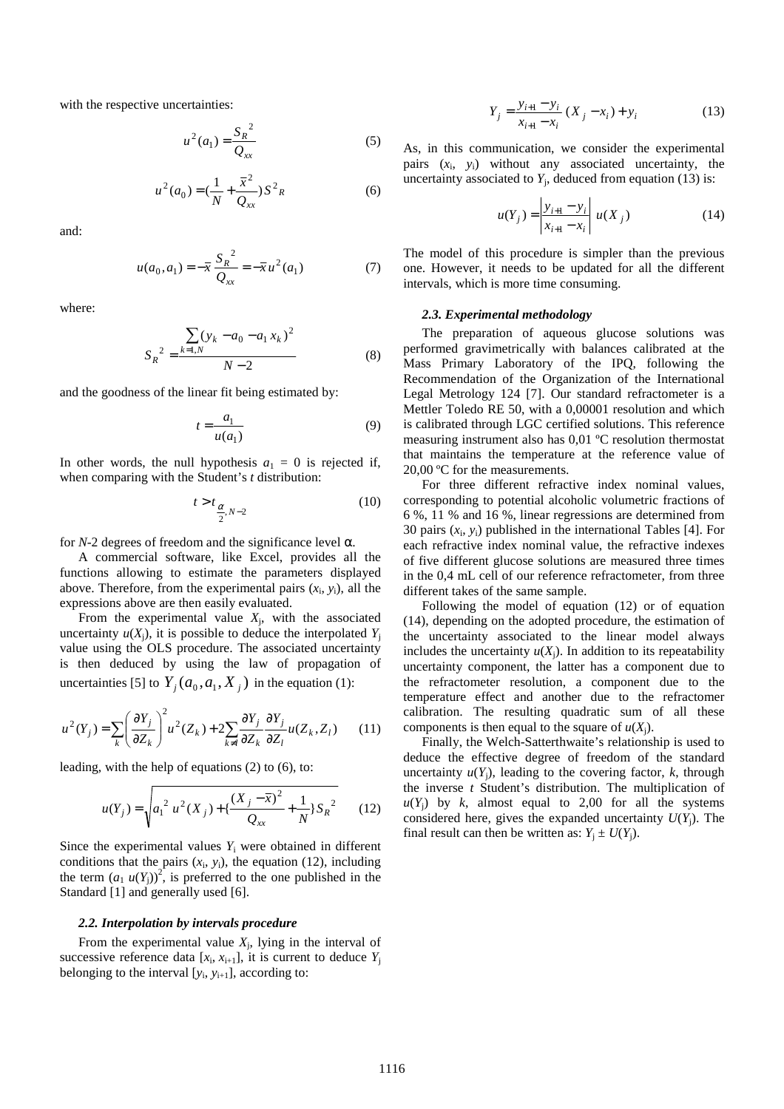with the respective uncertainties:

$$
u^{2}(a_{1}) = \frac{S_{R}^{2}}{Q_{xx}}
$$
 (5)

$$
u^{2}(a_{0}) = \left(\frac{1}{N} + \frac{\overline{x}^{2}}{Q_{xx}}\right) S^{2} R
$$
 (6)

and:

$$
u(a_0, a_1) = -\overline{x} \frac{S_R^2}{Q_{xx}} = -\overline{x} u^2(a_1)
$$
 (7)

where:

$$
S_R^2 = \frac{\sum_{k=1,N} (y_k - a_0 - a_1 x_k)^2}{N - 2}
$$
 (8)

and the goodness of the linear fit being estimated by:

$$
t = \frac{a_1}{u(a_1)}\tag{9}
$$

In other words, the null hypothesis  $a_1 = 0$  is rejected if, when comparing with the Student's *t* distribution:

$$
t > t_{\frac{\alpha}{2}, N-2} \tag{10}
$$

for  $N-2$  degrees of freedom and the significance level  $\alpha$ .

A commercial software, like Excel, provides all the functions allowing to estimate the parameters displayed above. Therefore, from the experimental pairs  $(x_i, y_i)$ , all the expressions above are then easily evaluated.

From the experimental value  $X_j$ , with the associated uncertainty  $u(X_i)$ , it is possible to deduce the interpolated  $Y_i$ value using the OLS procedure. The associated uncertainty is then deduced by using the law of propagation of uncertainties [5] to  $Y_j(a_0, a_1, X_j)$  in the equation (1):

$$
u^{2}(Y_{j}) = \sum_{k} \left(\frac{\partial Y_{j}}{\partial Z_{k}}\right)^{2} u^{2}(Z_{k}) + 2 \sum_{k \neq l} \frac{\partial Y_{j}}{\partial Z_{k}} \frac{\partial Y_{j}}{\partial Z_{l}} u(Z_{k}, Z_{l}) \qquad (11)
$$

leading, with the help of equations (2) to (6), to:

$$
u(Y_j) = \sqrt{a_1^2 u^2(X_j) + \left\{\frac{(X_j - \overline{x})^2}{Q_{xx}} + \frac{1}{N}\right\}S_R^2}
$$
 (12)

Since the experimental values  $Y_i$  were obtained in different conditions that the pairs  $(x_i, y_i)$ , the equation (12), including the term  $(a_1 u(Y_j))^2$ , is preferred to the one published in the Standard [1] and generally used [6].

#### *2.2. Interpolation by intervals procedure*

From the experimental value  $X_j$ , lying in the interval of successive reference data  $[x_i, x_{i+1}]$ , it is current to deduce  $Y_j$ belonging to the interval  $[y_i, y_{i+1}]$ , according to:

$$
Y_j = \frac{y_{i+1} - y_i}{x_{i+1} - x_i} (X_j - x_i) + y_i
$$
 (13)

As, in this communication, we consider the experimental pairs (*x*<sup>i</sup> , *y*i) without any associated uncertainty, the uncertainty associated to  $Y_j$ , deduced from equation (13) is:

$$
u(Y_j) = \left| \frac{y_{i+1} - y_i}{x_{i+1} - x_i} \right| u(X_j)
$$
 (14)

The model of this procedure is simpler than the previous one. However, it needs to be updated for all the different intervals, which is more time consuming.

#### *2.3. Experimental methodology*

The preparation of aqueous glucose solutions was performed gravimetrically with balances calibrated at the Mass Primary Laboratory of the IPQ, following the Recommendation of the Organization of the International Legal Metrology 124 [7]. Our standard refractometer is a Mettler Toledo RE 50, with a 0,00001 resolution and which is calibrated through LGC certified solutions. This reference measuring instrument also has 0,01 ºC resolution thermostat that maintains the temperature at the reference value of 20,00 ºC for the measurements.

For three different refractive index nominal values, corresponding to potential alcoholic volumetric fractions of 6 %, 11 % and 16 %, linear regressions are determined from 30 pairs  $(x_i, y_i)$  published in the international Tables [4]. For each refractive index nominal value, the refractive indexes of five different glucose solutions are measured three times in the 0,4 mL cell of our reference refractometer, from three different takes of the same sample.

Following the model of equation (12) or of equation (14), depending on the adopted procedure, the estimation of the uncertainty associated to the linear model always includes the uncertainty  $u(X_i)$ . In addition to its repeatability uncertainty component, the latter has a component due to the refractometer resolution, a component due to the temperature effect and another due to the refractomer calibration. The resulting quadratic sum of all these components is then equal to the square of  $u(X_i)$ .

Finally, the Welch-Satterthwaite's relationship is used to deduce the effective degree of freedom of the standard uncertainty  $u(Y_i)$ , leading to the covering factor,  $k$ , through the inverse *t* Student's distribution. The multiplication of  $u(Y_i)$  by *k*, almost equal to 2,00 for all the systems considered here, gives the expanded uncertainty  $U(Y_i)$ . The final result can then be written as:  $Y_j \pm U(Y_j)$ .